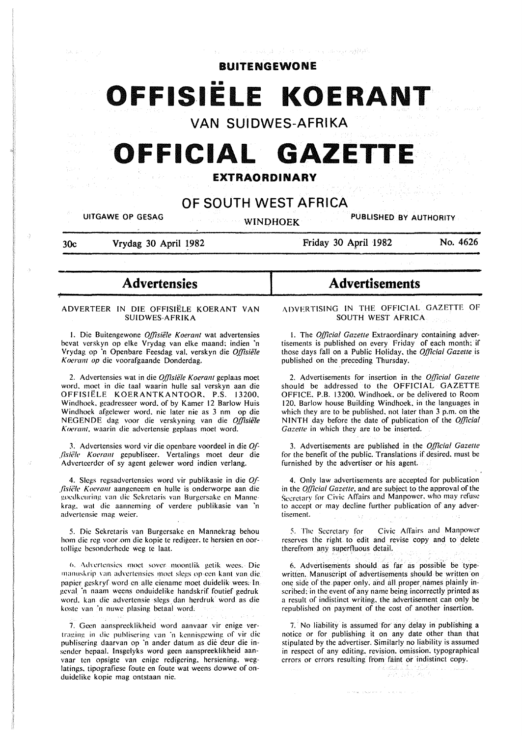بأقواطؤوه مراجعته براءة الرباد المتألي الهرائمين للمداد

### **BUITE NG EWO N E**

# **OFFISIELE KOERANT**

**VAN SUIDWES-AFRIKA** 

# **OFFICIAL GAZETTE**

## **EXTRAORDINARY**

## **OF SOUTH WEST AFRICA**

**UITGAWE OP GESAG AUTHORITY WINDHOEK PUBLISHED BY AUTHORITY** 

**30c Vrydag 30 April 1982** 

~

**Friday 30 April 1982 No. 4626** 

# - **Advertensies**

#### ADVERTEER IN DIE OFFISIELE KOERANT VAN SUIDWES-AFRIKA

1. Die Buitengewone *Offisiële Koerant* wat advertensies bevat verskyn op elke Vrydag van elke maand: indien 'n Vrydag op ·n Openbare Feesdag val. verskyn die *O.ffisiele Koerant op* die voorafgaande Donderdag.

2. Advertensies wat in die *Offisiële Koerant* geplaas moet word. moet in die taal waarin hulle sal verskyn aan die OFFISIELE KOERANTKANTOOR. P.S. 13200, Windhoek. geadresseer word. of by Kamer 12 Barlow Huis Windhoek afgelewer word. nie later nie as 3 nm op die NEGENDE dag voor die verskyning van die *0,[/isiii/e Koerant,* waarin die advertensie geplaas moct word.

3. Advertensies word vir die openbare voordeel in die *0/ jish'le Koerant* gepubliseer. Vertalings moet deur die Adverteerder of sy agent gelewer word indien verlang.

4. Slegs regsadvertensies word vir publikasie in die Of-*.fisiae Koerant* aangeneem en hullc is onderworpe aan die goedkeuring van die Sekretaris van Burgersake en Mannekrag. wal die aanneming of verdere publikasie van 'n advertensie mag weier.

5. Die Sekrelaris van Burgersake en Mannekrag behou hom die reg voor.om die kopie te redigeer. te hersien en oortollige besonderhede weg te laat.

6. Advertensies moet sover moontlik getik wees. Die manuskrip van advertensies moet slegs op een kant van die papier geskryf word en aile eienamc moet duidelik wees: In geval 'n naam weens onduidelike handskrif foutief gedruk word. kan die advertensie slegs dan herdruk word as die koste van 'n nuwe plasing betaal word.

7. Geen aanspreeklikheid word aanvaar vir enige vertraging in die publisering van 'n kennisgewing of vir die publisering daarvan op 'n ander datum as die deur die insender bepaal. lnsgelyks word geen aanspreeklikheid aanvaar ten opsigte van enige redigering. hersiening. weglatings. tipografiese foute en foute wat weens dowwe of onduidelike kopie mag ontstaan nie.

# **Advertisements**

ADVERTISING IN THE OFFICIAL GAZETTE OF SOUTH WEST AFRICA

I. The *Q{ficial Gazelle* Extraordinary containing advertisements is published on every Friday of each month: if those days fall on a Public Holiday, the *0,[/icial Gazelle* is published on the preceding Thursday.

2. Advertisements for insertion in the *0,[/icial Gazelle*  should be addressed to the OFFICIAL GAZETTE OFFICE. P.B. 13200. Windhoek. or be delivered to Room 120. Barlow house Building Windhoek. in the languages in which they are to be published. not later than 3 p.m. on the NINTH day before the date of publication of the *0,{/icial Gazelle* in which they are to be inserted.

3. Advertisements are published in the *0,[/icial Gazelle*  for the benefit of the public. Translations if desired. must be furnished by the advertiser or his agent.

4. Only law advertisements are accepted for publication in the *0,{/icial Gazelle,* and are subject to the approval of the Secretarv for Civic Affairs and Manpower. who may refuse to accept or may decline further publication of any advertisement.

5. The Secretary for Civic Affairs and Manpower reserves the right to edit and revise copy and to delete therefrom any superfluous detail.

6. Advertisements should as far as possible be typewritten. Manuscript of advertisements should be written on one side of the paper only. and all proper names plainly inscribed: in the event of any name being incorrectly printed as a result of indistinct writing. the advertisement can only be republished on payment of the cost of another insertion.

7. No liability is assumed for any delay in publishing a notice or for publishing it on any date other than that stipulated by the advertiser. Similarly no liability is assumed in respect of any editing. revision. omission. typographical errors or errors resulting from faint or indistinct copy.

a katulo

dialektoria eta erromania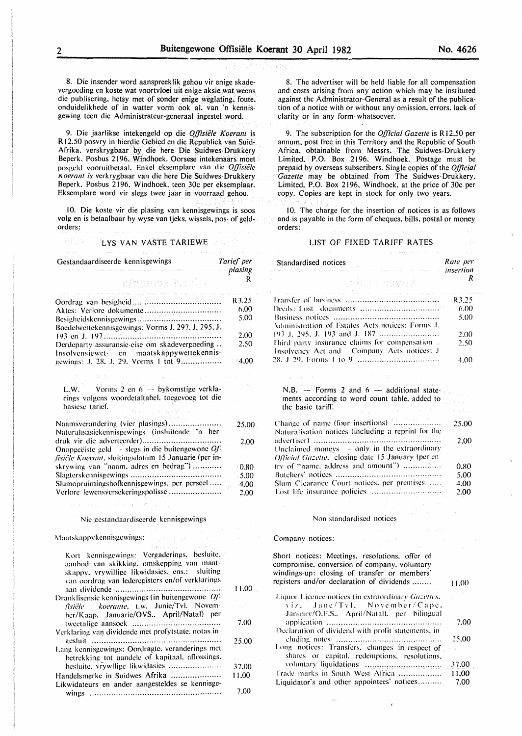8. Die insender word aanspreeklik gehou vir enige skadevergoeding en koste wat voortvloei uit enige aksie wat weens die publisering, hetsy met of sonder enige weglating, foute. onduidelikhede of in watter vorm ook al, van 'n kennisgewing teen die Administrateur-generaal ingestel word.

9. Die jaarlikse intekengeld op die *Offisiële Koerant* is R 12.50 posvry in hierdie Gebied en die Republiek van Suid-Afrika. verskrygbaar by die here Die Suidwes-Drukkery Beperk. Posbus 2196, Windhoek. Oorsese intekenaars moet posgeld vooruitbetaal. Enkel eksemplare van die *Offisiële 1\oerant is* verkrygbaar van die here Die Suidwes-Drukkery Beperk, Posbus 2196, Windhoek. teen 30c per eksemplaar. Eksemplare word vir slegs twee jaar in voorraad gehou.

10. Die koste vir die plasing van kennisgewings is soos volg en is betaalbaar by wyse van tjeks. wissels. pos- of geldorders:

#### **LYS VAN VASTE TARIEWE**

| Gestandaardiseerde kennisgewings                                                          | Tarief per<br>plasing |
|-------------------------------------------------------------------------------------------|-----------------------|
| eithersterition<br>an and dealers and dealers are an an                                   | R                     |
|                                                                                           | R3.25                 |
|                                                                                           | 6.00                  |
|                                                                                           | 5.00                  |
| Boedelwettekennisgewings: Vorms J. 297, J. 295, J.                                        |                       |
|                                                                                           | 2.00                  |
| Derdeparty-assuransie-eise om skadevergoeding                                             | 2.50                  |
| Insolvensiewet- en maatskappywettekennis-                                                 | 4.00                  |
|                                                                                           |                       |
|                                                                                           |                       |
|                                                                                           |                       |
| L.W. Vorms 2 en 6 - bykomstige verkla-<br>rings volgens woordetaltabel, toegevoeg tot die |                       |
| basiese tarief.                                                                           |                       |
|                                                                                           |                       |
| Naamsverandering (vier plasings)                                                          | 25.00                 |
| Naturalisasiekennisgewings (insluitende 'n her-                                           |                       |
| druk vir die adverteerder)                                                                | 2.00                  |
| Onopgeëiste geld $-$ slegs in die buitengewone $Of$                                       |                       |
| fisiële Koerant, sluitingsdatum 15 Januarie (per in-                                      |                       |
| skrywing van "naam, adres en bedrag")                                                     | $-0.80$               |
|                                                                                           | 5.00                  |
| Slumopruimingshofkennisgewings, per perseel                                               | 4.00                  |
| Verlore lewensversekeringspolisse                                                         | 2.00                  |
|                                                                                           |                       |
| Nie gestandaardiseerde kennisgewings                                                      |                       |
|                                                                                           |                       |
| Maatskappykennisgewings:                                                                  |                       |

| Kort kennisgewings: Vergaderings, besluite,<br>aanbod van skikking, omskepping van maat-<br>skappy, vrywillige likwidasies, ens.: sluiting |            |
|--------------------------------------------------------------------------------------------------------------------------------------------|------------|
| van oordrag van lederegisters en/of verklarings                                                                                            |            |
|                                                                                                                                            | 11.00      |
| Dranklisensie kennisgewings (in buitengewone Of-                                                                                           |            |
| fisiële koerante, t.w. Junie/Tvl. Novem-<br>ber/Kaap. Januarie/OVS April/Natal) per                                                        |            |
|                                                                                                                                            | .7.00      |
| Verklaring van dividende met profytstate, notas in-                                                                                        |            |
|                                                                                                                                            | 25,00      |
| Lang kennisgewings: Oordragte, veranderings met                                                                                            |            |
| betrekking tot aandele of kapitaal, aflossings,                                                                                            | 99.000.000 |
| besluite, vrywllige likwidasies                                                                                                            | 37.00      |
| Handelsmerke in Suidwes Afrika                                                                                                             | 11,00      |
| Likwidateurs en ander aangesteldes se kennisge-                                                                                            |            |
|                                                                                                                                            | 7.00       |

8. The advertiser will be held liable for all compensation and costs arising from any action which may be instituted against the Administrator-General as a result of the publication of a notice with or without any omission. errors. lack of clarity or in any form whatsoever.

9. The subscription for the *Official Gazette* is R12.50 per annum. post free in this Territory and the Republic of South Africa. obtainable from Messrs; The Suidwes-Drukkery Limited. P.O. Box 2196. Windhoek. Postage must be prepaid by overseas subscribers. Single copies of the *Official Gazette* may be obtained from The Suidwes-Drukkery. Limited, P.O. Box 2196, Windhoek, at the price of 30c per copy. Copies are kept in stock for only two years.

10. The charge for the insertion of notices is as follows and is payable in the form of cheques. bills, postal or money orders:

#### LIST OF FIXED TARIFF RATES

| Standardised notices                                                                         | Rate per<br>insertion |
|----------------------------------------------------------------------------------------------|-----------------------|
| o ankoraman'ila                                                                              |                       |
| A care and the company of the care of the company of the company of the company of the       | R3.25                 |
|                                                                                              | - 6.00                |
| Administration of Estates Acts notices: Forms J.                                             | 5.00                  |
|                                                                                              | 2.00                  |
| Third party insurance claims for compensation.<br>Insolvency Act and Company Acts notices: J | 2.50                  |
|                                                                                              |                       |

| N.B. $-$ Forms 2 and $6$ $-$ additional state-<br>ments according to word count table, added to<br>the basic tariff.<br>The project of the second control of the second con- |      |
|------------------------------------------------------------------------------------------------------------------------------------------------------------------------------|------|
| Naturalisation notices (including a reprint for the                                                                                                                          |      |
|                                                                                                                                                                              | 2.00 |
| Unclaimed moneys $-$ only in the extraordinary<br><i>Official Gazette, closing date 15 January (per en</i>                                                                   |      |
| try of "name, address and amount")                                                                                                                                           | 0.80 |
|                                                                                                                                                                              | 5.00 |
| Slum Clearance Court notices, per premises                                                                                                                                   | 4.00 |
|                                                                                                                                                                              | 2.00 |

#### Non standardised notices

#### Company notices:

| Short notices: Meetings, resolutions, offer of<br>compromise, conversion of company, voluntary<br>windings-up: closing of transfer or members'<br>registers and/or declaration of dividends | 11.00 |
|---------------------------------------------------------------------------------------------------------------------------------------------------------------------------------------------|-------|
| Liquor Licence notices (in extraordinary Gazettes,                                                                                                                                          |       |
| viz. June/Tvl. November/Cape.                                                                                                                                                               |       |
| January/O.F.S., April/Natal), per bilingual                                                                                                                                                 |       |
|                                                                                                                                                                                             | 7.00  |
| Declaration of dividend with profit statements, in                                                                                                                                          |       |
|                                                                                                                                                                                             | 25.00 |
| Long notices: Transfers, changes in respect of                                                                                                                                              |       |
| shares or capital, redemptions, resolutions,                                                                                                                                                |       |
|                                                                                                                                                                                             | 37.00 |
|                                                                                                                                                                                             |       |
| Liquidator's and other appointees' notices                                                                                                                                                  | 7.00  |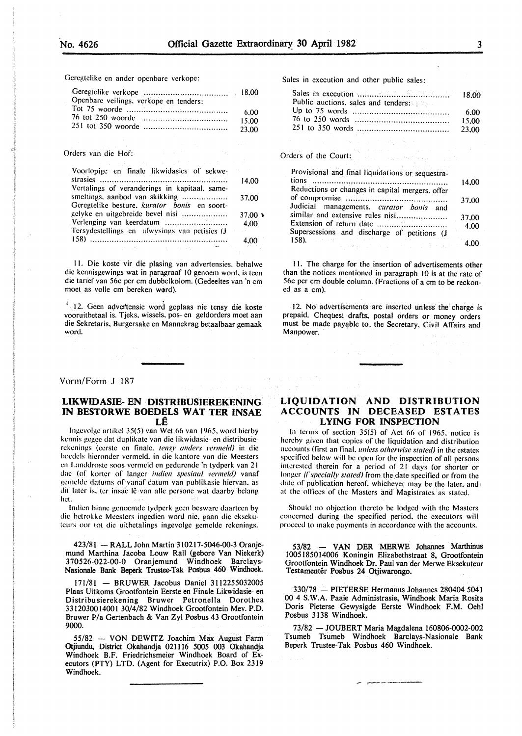Gcrcgtclike en ander openbare verkope:

| Openbare veilings, verkope en tenders: |        |
|----------------------------------------|--------|
|                                        | 6.00   |
|                                        | -15.00 |
|                                        | -23.00 |

#### Orders van die Hof:

| Voorlopige en finale likwidasies of sekwe-    |                |
|-----------------------------------------------|----------------|
|                                               | 14.00          |
| Vertalings of veranderings in kapitaal, same- |                |
| smeltings, aanbod van skikking                | 37.00          |
| Geregtelike besture, kurator bonis en soort-  |                |
| gelyke en uitgebreide bevel nisi              | $37.00 \times$ |
|                                               | 4.00           |
| Tersydestellings en afwysings van petisies (J |                |
|                                               | 4.00           |

II. Die koste vir die plasing van advertensies. behalwe die kennisgewings wat in paragraaf 10 genoem word, is teen die tarief van 56c per em dubbelkolom. (Gedeeltes van 'n em moet as volle em bereken w@rd).

<sup>1</sup> 12. Geen advertensie word geplaas nie tensy die koste vooruitbetaal is. Tjeks, wissels, pos- en geldorders moet aan die Sekretaris. Burgersake en Mannekrag betaalbaar gemaak word.

#### Vorm/Form J 187

#### **LIKWIDASIE- EN DISTRIBUSIEREKENING IN BESTORWE BOEDELS WAT TER INSAE**   $L\hat{E}$

lngcvolgc artikel 35(5) van Wet 66 van 1965. word hierby kcnnis gcgcc dat duplikatc van die likwidasie- en distribusierckcnings (eerste en finale. *tensy anders vermeld)* in die hocdcls hicrondcr vcrmcld. in die kantorc van die Meesters en Landdrostc soos vcrmcld en gedurendc 'n tydperk van 21 dac (of korter of langer *indien spesiaal vermeld)* vanaf gcmcldc datums of vanaf datum van publikasie hicrvan. as dit later is, ter insac lê van alle persone wat daarby belang hct.

Indien binne genoemde tydperk geen besware daarteen by die hctrokkc Mccstcrs ingcdien word nie. gaan die eksekulcurs oor tot die uitbetalings ingevolgc gemelde rekenings.

423/81 - RALL John Martin 310217-5046-00-3 Oranjemund Marthina Jacoba Louw Rail (gebore Van Niekerk) 370526-022-00-0 Oranjemund Windhoek Barclays-Nasionale Bank Beperk Trustee-Tak Posbus 460 Windhoek.

171/81 - BRUWER Jacobus Daniel 3112255032005 Plaas Uitkoms Grootfontein Eerste en Finale Likwidasie- en Distribusierekening Bruwer Petronella Dorothea 3312030014001 30/4/82 Windhoek Grootfontein Mev. P.O. Bruwer P/a Gertenbach & Van Zyl Posbus 43 Grootfontein 9000.

55/82 - VON DEWITZ Joachim Max August Farm Otjiundu, District Olcahandja 021116 5005 003 Okahandja Windhoek B.F. Friedrichsmeier Windhoek Board of Executors (PTY) LTD. (Agent for Executrix) P.O. Box 2319 Windhoek.

Sales in execution and other public sales:

| Sales in execution with the contract of the 18.00 |        |
|---------------------------------------------------|--------|
| Public auctions, sales and tenders:               |        |
|                                                   | - 6.00 |
|                                                   | 15.00  |
|                                                   | 23.00  |

#### Orders of the Court:

| Provisional and final liquidations or sequestra- |       |
|--------------------------------------------------|-------|
| tions                                            | 14.00 |
| Reductions or changes in capital mergers, offer  |       |
|                                                  | 37.00 |
| Judicial managements, curator bonis and          |       |
| similar and extensive rules nisi                 | 37.00 |
| Extension of return date                         | 4.00  |
| Supersessions and discharge of petitions (J      |       |
| 158.                                             |       |

II. The charge for the insertion of advertisements other than the notices mentioned in paragraph 10 is at the rate of 56c per em double column. (Fractions of a em to be reckoned as a em).

12. No advertisements are inserted unless the charge is prepaid. Cheques, drafts. postal orders or money orders must be made payable to the Secretary, Civil Affairs and Manpower.

#### **LIQUIDATION AND DISTRIBUTION ACCOUNTS IN DECEASED ESTATES LYING FOR INSPECTION**

In terms of section 35(5) of Act 66 of 1965, notice is hereby given that copies of the liquidation and distribution accounts (first an finaL *unless otherwise stated)* in the estates specified below will be open for the inspection of all persons interested therein for a period of 21 days (or shorter or longer *if specially stated*) from the date specified or from the date of publication hereof, whichever may be the later, and at the offices of the Masters and Magistrates as stated.

Should no objection thereto he lodged with the Masters concerned during the specified period. the executors will proceed to make payments in accordance with the accounts.

53/82 - VAN DER MERWE Johannes Marthinus 1005185014006 Koningin Elizabethstraat 8, Grootfontein Grootfontein Windhoek Dr. Paul van der Merwe Eksekuteur Testamentêr Posbus 24 Otjiwarongo.

330/78 - PIETERSE Hermanus Johannes 280404 5041 00 4 S.W.A. Paaie Administrasie, Windhoek Maria Rosita Doris Pieterse Gewysigde Eerste Windhoek F.M. Oehl Posbus 3138 Windhoek.

73/82 -JOUBERT Maria Magdalena 160806-0002-002 Tsumeb Tsumeb Windhoek Barclays-Nasionale Bank Beperk Trustee-Tak Posbus 460 Windhoek.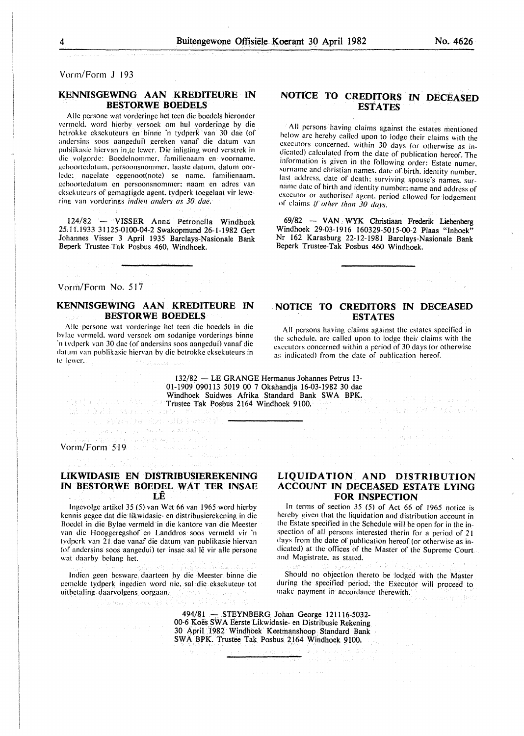Vorm/Fonn **J** 193

#### **KENNISGEWING AAN KREDITEURE IN BESTORWE BOEDELS**

Aile pcrsonc wat vordcringc het teen die boedels hieronder vcrmcld. word hierby versoek om hul vorderinge by die hctrokke cksckutcurs en binnc 'n tydpcrk van 30 dae (of andcrsins soos aangedui) gcrekcn vanaf die datum van publikasic hicrvan in te lewer. Die inligting word verstrek in die volgordc: Bocdclnommer. familienaam en voorname. gcboortcdatum. pcrsoonsnommcr. laastc datum. datum oorlede: nagclatc cggcnoot(note) sc name. familicnaam. gcboortcdatum en pcrsoonsnommcr: naam en adrcs van eksckutcurs of gemagtigdc agent. tydpcrk tocgclaat vir lewering van vorderings *indien anders as 30 dae.* 

124/82 - VISSER Anna Petronella Windhoek 25.11.1933 31125-0100-04-2 Swakopmund 26-1-1982 Gert Johannes Visser 3 April 1935 Barclays-Nasionale Bank Beperk Trustee-Tak Posbus 460, Windhoek.

#### Vorm/Form No. 517

#### **KENNISGEWING AAN KREDITEURE IN BESTORWE BOEDELS**

Aile pcrsone wat vordcringc hct teen die boedcls in die hvlae vcrmcld. word versock om sodanigc vorderings binne ·n tvdpcrk van 30 dac (of andcrsins soos aangcdui) vanaf die datum van publikasic hicrvan by die hctrokkc cksckutcurs in te lewer.  $\mathbb{E} \left[ \mathbb{E}_{\mathcal{L}_{\text{c}} \text{sym}} \mathbb{E}_{\mathcal{L}_{\text{c}} \text{sym}} \mathbb{E}_{\text{c}} \right]$ 

()、海豚()身份的小地板等金加能量

Sangki wa

### **NOTICE TO CREDITORS IN DECEASED ESTATES**

All persons having claims against the estates mentioned below arc hereby called upon to lodge their claims with the executors concerned. within 30 days (or otherwise as indicated) calculated from the date of publication hereof. The information is given in the following order: Estate numer. surname and christian names. date of birth. identity number. last address. date of death: surviving spouse's names. surname date of birth and identity number: name and address of executor or authorised agent. period allowed for lodgement of claims if other than 30 days.

69/82 - VAN WYK Christiaan Frederik Liebenberg Windhoek 29-03-1916 160329-5015-00-2 Plaas "Inhoek" Nr 162 Karasburg 22-12-1981 Barclays-Nasionale Bank Beperk Trustee-Tak Posbus 460 Windhoek.

#### . **NOTICE TO CREDITORS IN DECEASED ESTATES**

All persons having claims against the estates specified in the schedule, are called upon to lodge their claims with the executors concerned within a period of 30 days (or otherwise as indicated) from the date of publication hereof.

그리고는 그 부터 거리를 가 봐. 지고 사

Grand Corp.

132/82 - LE GRANGE Hermanus Johannes Petrus 13- 01-1909 090113 5019 00 7 Okahandja 16-03-1982 30 dae Windhoek Suidwes Afrika Standard Bank SWA BPK. Trustee Tak Posbus 2164 Windhoek 9100.

#### Vorm/Form 519

지수는 일을 받고 있었다.

بالمستجر المراعية والأعصام والمحارب

# **LIKWIDASIE EN DISTRIBUSIEREKENING IN BESTORWE BOEDEL WAT TER INSAE LE** .

Ingevolge artikel 35 (5) van Wet 66 van 1965 word hierby kennis gegee dat die likwidasie- en distribusierekening in die Boedcl in die Bylae vermeld in die kantore van die Meester van die Hooggeregshof en Landdros soos vermeld vir 'n t vdperk van 21 dae vanaf die datum van publikasie hiervan (of andersins soos aangedui) ter insae sal le vir aile persone wat daarby belang het.

Indien geen beswarc daarteen by die Meester binne die gemelde tydperk ingedien word nie, sal die eksekuteur tot uitbetaling daarvolgcns oorgaan.

Marwar Andrew 19

#### **LIQUIDATION AND DISTRIBUTION ACCOUNT IN DECEASED ESTATE LYING FOR INSPECTION**

In terms of section 35 (5) of Act 66 of 1965 notice is hereby given that the liquidation and distribution account in the Estate specified in the Schedule will be open for in the inspection of all persons interested therin for a period of 21 days from the date of publication hereof (or otherwise as indicated) at the offices of the Master of the Supreme Court and Magistrate. as stated.

Should no objection thereto be lodged with the Master during the specified period; the Executor will proceed to make payment in accordance therewith.

494/81 ~ STEYNBERG Johan George 121116-5032- 00-6 Koes SW A Eerste Likwidasie- en Distribusie Rekening 30 April'l982 Windhoek· Keetmanshoop Standard Bank SWA BPK. Trustee Tak Posbus 2164 Windhoek 9100,

 $\langle \cdot, \cdot \rangle_{\mathcal{L}(\mathcal{L}(\mathcal{L}(\mathcal{L}(\mathcal{L}(\mathcal{L}(\mathcal{L}(\mathcal{L}(\mathcal{L}(\mathcal{L}(\mathcal{L}(\mathcal{L}(\mathcal{L}(\mathcal{L}(\mathcal{L}(\mathcal{L}(\mathcal{L}(\mathcal{L}(\mathcal{L}(\mathcal{L}(\mathcal{L}(\mathcal{L}(\mathcal{L}(\mathcal{L}(\mathcal{L}(\mathcal{L}(\mathcal{L}(\mathcal{L}(\mathcal{L}(\mathcal{L}(\mathcal{L}(\mathcal{L}(\mathcal{L}(\mathcal{L}(\mathcal{L}$ 

Ñ.

 $\sim 10^{-1}$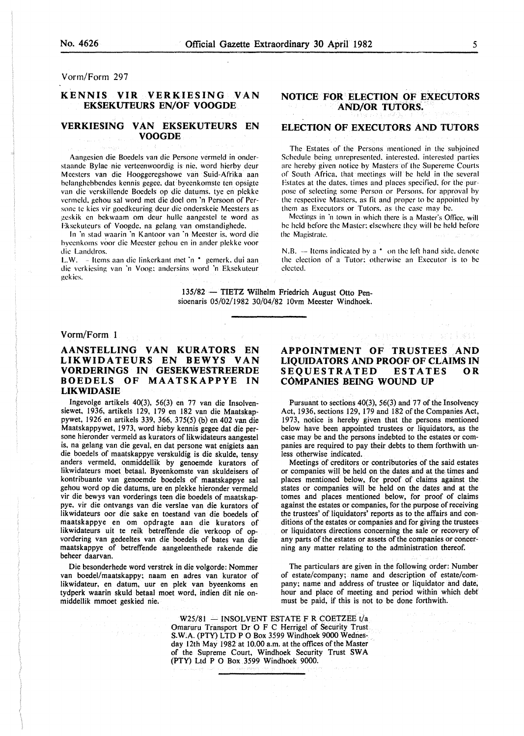Vorm/Form 297

#### KENNIS VIR VERKIESING VAN EKSEKUTEURS EN/OF VOOGDE

#### VERKIESING VAN EKSEKUTEURS EN VOOGDE

Aangesien die Boedels van die Persone vermeld in onderstaande Bylae nie verteenwoordig is nie. word hierby deur Meesters van die Hooggeregshowe van Suid-Afrika aan belanghebbendes kennis gegee. dat byeenkomste ten opsigte van die verskillende Boedels op die datums. lye en plekke vermeld, gehou sal word met die doel om 'n Persoon of Personc tc kics vir goedkeuring deur die onderskeic Meesters as )!cskik en bekwaam om deur hulle aangestcl te word as Eksckutcurs of Voogdc. na gelang van omstandighede.

In 'n stad waarin 'n Kantoor van 'n Meester is. word die byccnkoms voor die Meester gchou en in ander plekke voor die Landdros.

L.W. - Items aan die linkerkant met 'n \* gemerk, dui aan die vcrkicsing van 'n Voog; andersins word 'n Eksekuteur gckics.

#### NOTICE FOR ELECTION OF EXECUTORS AND/OR TUTORS.

#### ELECTION OF EXECUTORS AND TUTORS

The Estates of the Persons mentioned in the subjoined Schedule being unrepresented. interested. interested parties arc hereby given notice by Masters of the Supereme Courts of South Africa. that meetings will be held in the several Estates at the dates. times and places specified. for the purpose of selecting some Person or Persons. for approval by the respective Masters. as tit and proper to be appointed by them as Executors or Tutors. as the case may be.

Meetings in 'n town in which there is a Master's Office, will he held before the Master: elsewhere they will be held before the Magistrate.

N.B.  $-$  Items indicated by a  $*$  on the left hand side, denote the election of a Tutor: otherwise an Executor is to be elected.

135/82 - TIETZ Wilhelm Friedrich August Otto Pensioenaris 05/02/1982 30/04/82 IOvm Meester Windhoek.

#### Vorm/Form 1

#### AANSTELLING VAN KURATORS EN LIKWIDATEURS EN BEWYS VAN VORDERINGS IN GESEKWESTREERDE BOEDELS OF MAATSKAPPYE IN LIKWIDASIE

Ingevolge artikels 40(3), 56(3) en 77 van die Insolvensiewet, 1936, artikels 129, 179 en 182 van die Maatskappywet, 1926 en artikels 339, 366, 375(5) (b) en 402 van die Maatskappywet, 1973, word hieby kennis gegee dat die persone hieronder vermeld as kurators of likwidateurs aangestel is, na gelang van die geval, en dat persone wat enigiets aan die boedels of maatskappye verskuldig is die skulde, tensy anders vermeld, onmiddellik by genoemde kurators of likwidateurs moet betaal. Byeenkomste van skuldeisers of kontribuante van genoemde boedels of maatskappye sal gehou word op die datums, ure en plekke hieronder vermeld vir die bewys van vorderings teen die boedels of maatskappye, vir die ontvangs van die verslae van die kurators of likwidateurs oor die sake en toestand van die boedels of maatskappye en om opdragte aan die kurators of likwidateurs uit te reik betreffende die verkoop of opvordering van gedeeltes van die boedels of bates van die maatskappye of betreffende aangeleenthede rakende die beheer daarvan.

Die besonderhede word verstrek in die volgorde: Nommer van boedel/maatskappy; naam en adres van kurator of likwidateur, en datum, uur en plek van byeenkoms en tydperk waarin skuld betaal moet word, indien dit nie onmiddellik mmoet geskied nie.

的复数 计分子

#### APPOINTMENT OF TRUSTEES AND LIQUIDATORS AND PROOF OF CLAIMS IN SEQUESTRATED ESTATES OR COMPANIES BEING WOUND UP

乳のエーション クリーン としゃ ちきいきょう マーケーション 手握する

Pursuant to sections 40(3), 56(3) and 77 of the Insolvency Act, 1936, sections 129, 179 and 182 of the Companies Act, 1973, notice is hereby given that the persons mentioned below have been appointed trustees or liquidators, as the case may be and the persons indebted to the estates or companies are required to pay their debts to them forthwith unless otherwise indicated.

Meetings of creditors or contributories of the said estates or companies will be held on the dates and at the. times and places mentioned below, for proof of claims against the states or companies will be held on the dates and at the tomes and places mentioned below, for proof of claims against the estates or companies, for the purpose of receiving the trustees' of liquidators' reports as to the affairs and conditions of the estates or companies and for giving the trustees or liquidators directions concerning the sale or recovery of any parts of the estates or assets of the companies or concerning any matter relating to the administration thereof.

The particulars are given in the following order: Number of estate/company; name and description of estate/company; name and address of trustee or liquidator and date, hour and place of meeting and period within which debt must be paid, if this is not to be done forthwith.

 $W25/81 - INSOLVENT ESTATE F R COETZEE t/a$ Omaruru Transport Dr 0 F C Herrigel of Security Trust S.W.A. (PTY) LTD P 0 Box *3599* Windhoek 9000 Wednesday 12th May 1982 at 10.00 a.m. at the offices of the Master of the Supreme Court, Windhoek Security Trust SWA (PTY) Ltd P 0 Box *3599* Windhoek 9000.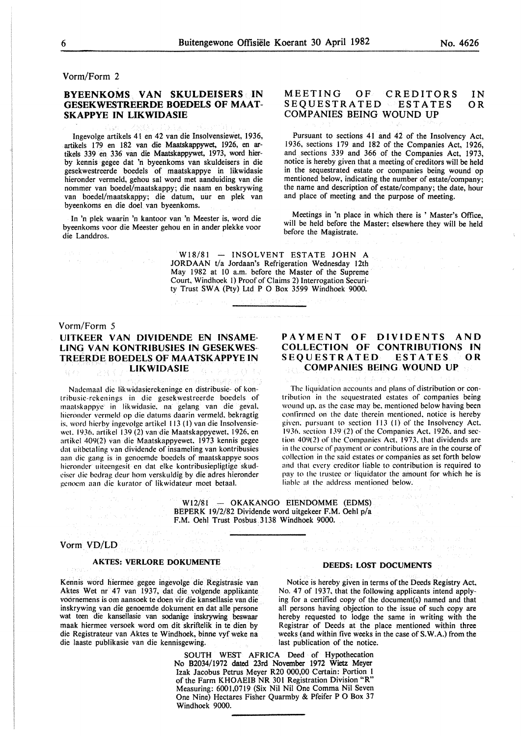#### Vorm/Form 2

#### BYEENKOMS VAN SKULDEISERS IN GESEKWESTREERDE BOEDELS OF MAAT-SKAPPYE IN LIKWIDASIE

lngevolge artikels 41 en 42 van die Insolvensiewet, 1936, artikels 179 en 182 van die Maatskappywet. 1926, en artikels 339 en 336 van die Maatskappywet, 1973, word bierby kennis gegee dat 'n byeenkoms van skuldeisers in die gesekwestreerde boedels of maatskappye in likwidasie hieronder vermeld, gehou sal word met aanduiding van die nommer van boedel/maatskappy; die naam en beskrywing van boedel/maatskappy; die datum, uur en plek van byeenkoms en die doe! van byeenkoms.

In 'n plek waarin 'n kantoor van 'n Meester is, word die byeenkoms voor die Meester gehou en in ander plekke voor die Landdros.

#### MEETING OF CREDITORS<br>SEOUESTRATED ESTATES **SEQUESTRATED** COMPANIES BEING WOUND UP IN OR

Pursuant to sections 41 and 42 of the Insolvency Act, 1936, sections 179 and 182 of the Companies Act, 1926, and sections 339 and 366 of the Companies Act, 1973, notice is hereby given that a meeting of creditors will be held in the sequestrated estate or companies being wound op mentioned below, indicating the number of estate/company; the name and description of estate/company; the date, hour and place of meeting and the purpose of meeting.

Meetings in 'n place in which there is ' Master's Office, will be held before the Master; elsewhere they will be held before the Magistrate.

 $W18/81 - INSOLVENT ESTATE JOHN A$ JORDAAN t/a Jordaan's Refrigeration Wednesday 12th May 1982 at 10 a.m. before the Master of the Supreme Court, Windhoek I) Proof of Claims 2) Interrogation Security Trust SWA (Pty) Ltd P 0 Box 3599 Windhoek 9000.

#### Vorm/Form 5

#### UITKEER VAN DIVIDENDE EN INSAME-UNG VAN KONTRIBUSIES IN GESEKWES-TREERDE BOEDELS OF MAATSKAPPYE IN **LIKWIDASIE**

Nadcmaal die likwidasierekeninge en distribusie- of kontribusic-rckenings in die gesekwestreerde boedels of maatskappyc in likwidasie. na gelang van die geval. hicronder vcrmeld op die datums daarin vermeld. bekragtig is. word hicrby ingevolge artikel 113 (I) van die lnsolvensiewct. 1936. artikcl 139 (2) van die Maatskappyewet. 1926. en artikcl 409(2) van die Maatskappyewet. 1973 kennis gegee dat uitbctaling van dividende of insameling van kontribusies aan die gang is in gcnoemdc boedels of maatskappye soos hicrondcr uitccngesit en dat elke kontribusiepligtige skudciscr die bcdrag dcur hom verskuldig by die adres hieronder gcnocm aan die kurator of likwidateur moet betaal.

#### PAYMENT OF DIVIDENTS AND COLLECTION OF CONTRIBUTIONS IN<br>SEQUESTRATED ESTATES OR SEQUESTRATED COMPANIES BEING WOUND UP

The liquidation accounts and plans of distribution or contribution in the sequestrated estates of companies being wound up. as the case may be. mentioned below having been conlirmcd on the date therein mentioned. notice is hereby given. pursuant to section 113 (I) of the Insolvency Act. 19 36. section 139 (2) of the Companies Act. 1926. and section 409(2) of the Companies Act. 1973. that dividends are in the course of payment or contributions are in the course of collection in the said estates or companies as set forth below and that every creditor liable to contribution is required to pay to the trustee or liquidator the amount for which he is liable at the address mentioned below.

W12/81 - OKAKANGO EIENDOMME (EDMS) BEPERK 19/2/82 Dividende word uitgekeer F.M. Oehl p/a F.M. Oehl Trust Posbus 3138 Windhoek 9000.

#### Vorm VD/LD

#### AKTES: VERLORE DOKUMENTE

Kennis word hiermee gegee ingevolge die Registrasie van Notice is hereby given in terms of the Deeds Registry Act, Aktes Wet nr 47 van 1937, dat die volgende applikante No. 47 of 1937, that the following applicants intend apply-<br>voornemens is om aansoek te doen vir die kansellasie van die ing for a certified copy of the document(s) nam inskrywing van die genoemde dokument en dat aile persone all persons having objection to the issue of such copy are wat teen die kansellasie van sodanige inskrywing beswaar maak hiermee versoek word om dit skriftelik in te dien by maak hiermee versoek word om dit skriftelik in te dien by Registrar of Deeds at the place mentioned within three die Registrateur van Aktes te Windhoek, binne vyf weke na weeks (and within five weeks in the case of S.W.A.) die laaste publikasie van die kennisgewing. last publication of the notice.

ing for a certified copy of the document(s) named and that weeks (and within five weeks in the case of S.W.A.) from the

SOUTH WEST AFRICA Deed of Hypothecation No 82034/1972 dated 23rd November 1972 Wietz Meyer Izak Jacobus Petrus Meyer R20 000,00 Certain: Portion l of the Farm KHOAEIB NR 301 Registration Division "R" Measuring: 6001,0719 (Six Nil Nil One Comma Nil Seven One Nine) Hectares Fisher Quarmby & Pfeifer P 0 Box 37 Windhoek 9000.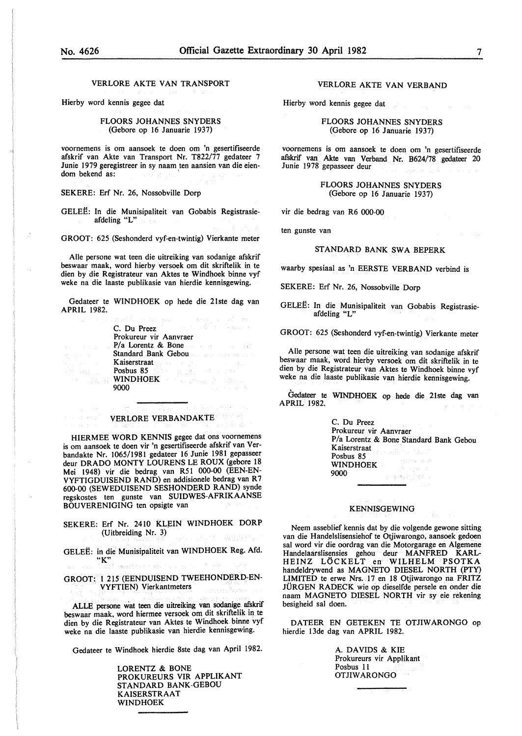VERLORE AKTE VAN TRANSPORT

Hierby word kennis gegee dat

FLOORS JOHANNES SNYDERS (Gebore op 16 Januarie 1937)

voornemens is om aansoek te doen om 'n gesertifiseerde afskrif van Akte van Transport Nr. T822/77 gedateer 7 Junie 1979 geregistreer in sy naam ten aansien van die eiendom bekend as:

SEKERE: Erf Nr. 26, Nossobville Dorp

GELEE: In die Munisipaliteit van Gobabis Registrasieafdeling "L"

GROOT: 625 (Seshonderd vyf-en-twintig) Vierkante meter

Aile persone wat teen die uitreiking van sodanige afskrif beswaar maak, word hierby versoek om dit skriftelik in te dien by die Registrateur van Aktes te Windhoek binne vyf weke na die laaste publikasie van hierdie kennisgewing.

Gedateer te WINDHOEK op hede die 21ste dag van APRIL 1982.

> C. Du Preez Prokureur vir Aanvraer *PI* a Lorentz & Bone Standard Bank Gebou Kaiserstraat Posbus 85 WINDHOEK **WINDHOEK** 9000

#### VERLORE VERBANDAKTE

HIERMEE WORD KENNIS gegee dat ons voornemens is om aansoek te doen vir 'n gesertifiseerde afskrif van Verbandakte Nr. 1065/1981 gedateer 16 Junie 1981 gepasseer deur DRADO MONTY LOURENS LE ROUX (gebore 18 Mei 1948) vir die bedrag van R51 000-00 (EEN-EN-VYFTIGDUISEND RAND) en addisionele bedrag van R 7 600-00 (SEWEDUISEND SESHONDERD RAND) synde regskostes ten gunste van SUIDWES-AFRIKAANSE BOUVERENIGING ten opsigte van

SEKERE: Erf Nr. 2410 KLEIN WINDHOEK DORP (Uitbreiding Nr. 3) a Bren

GELEE: in die Munisipaliteit van WINDHOEK Reg. Afd. "K"

GROOT: 1 215 (EENDUISEND TWEEHONDERD-EN-VYFTIEN) Vierkantmeters

ALLE persone Wat teen die uitreiking van sodanige afskrif beswaar maak. word hiermee versoek om dit skriftelik in te dien by die Registrateur van Aktes te Windhoek binne vyf weke na die laaste publikasie van hierdie kennisgewing.

Gedateer te Windhoek hierdie 8ste dag van April 1982.

LORENTZ & BONE PROKUREURS VIR APPLIKANT STANDARD BANK-GEBOU KAISERSTRAAT WINDHOEK

VERLORE AKTE VAN VERBANO

 $\mathcal{L}^{\mathcal{L}}$ 

Hierby word kennis gegee dat

FLOORS JOHANNES SNYDERS (Gebore op 16 Januarie 1937)

voornemens is om aansoek te doen om 'n gesertifiseerde afskrif van Akte van Verband Nr. B624/78 gedateer 20 Junie 1978 gepasseer deur

> FLOORS JOHANNES SNYDERS (Gebore op 16 Januarie 1937)

vir die bedrag van R6 000-00

ten gunste van

#### STANDARD BANK SWA BEPERK

waarby spesiaal as 'n EERSTE VERBANO verbind is

SEKERE: Erf Nr. 26, Nossobville Dorp

GELEE: In die Munisipaliteit van Gobabis Registrasieafdeling "L"

GROOT: 625 (Seshonderd vyf-en-twintig) Vierkante meter

Aile persone wat teen die uitreiking van sodanige afskrif beswaar maak, word. hierby versoek om dit skriftelik in te dien by die Registrateur van Aktes te Windhoek binne vyf weke na die laaste publikasie van hierdie kennisgewing.

Gedateer te WINDHOEK op hede die 21ste dag van APRIL 1982.

C. Du Preez Prokureur vir Aanvraer P/a Lorentz & Bone Standard Bank Gebou Kaiserstraat Posbus 85 WINDHOEK 9000 医染料的

#### KENNISGEWING

Neem asseblief kennis dat by die volgende gewone sitting van die Handelslisensiehof te Otjiwarongo, aansoek gedoen sal word vir die oordrag van die Motorgarage en Algemene Handelaarslisensies gehou deur MANFRED KARL-HEINZ LOCKELT en WILHELM PSOTKA handeldrywend as MAGNETO DIESEL NORTH (PTY) LIMITED te erwe Nrs. 17 en 18 Otjiwarongo na FRITZ JURGEN RADECK wie op dieselfde persele en onder die naam MAGNETO DIESEL NORTH vir sy eie rekening besigheid sal doen.

DATEER EN GETEKEN TE OTJIWARONGO op hierdie 13de dag van APRIL 1982.

> A. DAVIDS & KIE Prokureurs vir Applikant Posbus 11 OTJIW ARONGO